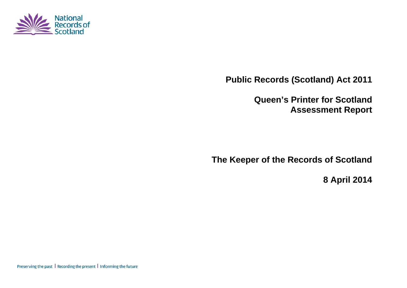

**Public Records (Scotland) Act 2011** 

**Queen's Printer for Scotland Assessment Report** 

**The Keeper of the Records of Scotland** 

**8 April 2014** 

Preserving the past | Recording the present | Informing the future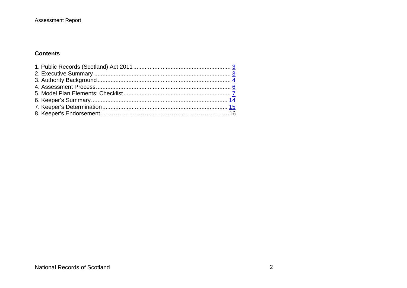## **Assessment Report**

## **Contents**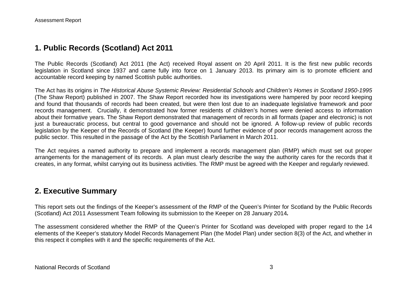## **1. Public Records (Scotland) Act 2011**

The Public Records (Scotland) Act 2011 (the Act) received Royal assent on 20 April 2011. It is the first new public records legislation in Scotland since 1937 and came fully into force on 1 January 2013. Its primary aim is to promote efficient and accountable record keeping by named Scottish public authorities.

The Act has its origins in *The Historical Abuse Systemic Review: Residential Schools and Children's Homes in Scotland 1950-1995* (The Shaw Report) published in 2007. The Shaw Report recorded how its investigations were hampered by poor record keeping and found that thousands of records had been created, but were then lost due to an inadequate legislative framework and poor records management. Crucially, it demonstrated how former residents of children's homes were denied access to information about their formative years. The Shaw Report demonstrated that management of records in all formats (paper and electronic) is not just a bureaucratic process, but central to good governance and should not be ignored. A follow-up review of public records legislation by the Keeper of the Records of Scotland (the Keeper) found further evidence of poor records management across the public sector. This resulted in the passage of the Act by the Scottish Parliament in March 2011.

The Act requires a named authority to prepare and implement a records management plan (RMP) which must set out proper arrangements for the management of its records. A plan must clearly describe the way the authority cares for the records that it creates, in any format, whilst carrying out its business activities. The RMP must be agreed with the Keeper and regularly reviewed.

## **2. Executive Summary**

This report sets out the findings of the Keeper's assessment of the RMP of the Queen's Printer for Scotland by the Public Records (Scotland) Act 2011 Assessment Team following its submission to the Keeper on 28 January 2014*.*

The assessment considered whether the RMP of the Queen's Printer for Scotland was developed with proper regard to the 14 elements of the Keeper's statutory Model Records Management Plan (the Model Plan) under section 8(3) of the Act, and whether in this respect it complies with it and the specific requirements of the Act.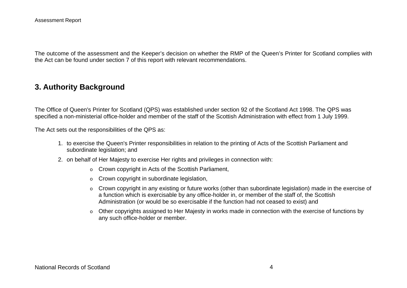The outcome of the assessment and the Keeper's decision on whether the RMP of the Queen's Printer for Scotland complies with the Act can be found under section 7 of this report with relevant recommendations.

## **3. Authority Background**

The Office of Queen's Printer for Scotland (QPS) was established under section 92 of the Scotland Act 1998. The QPS was specified a non-ministerial office-holder and member of the staff of the Scottish Administration with effect from 1 July 1999.

The Act sets out the responsibilities of the QPS as:

- 1. to exercise the Queen's Printer responsibilities in relation to the printing of Acts of the Scottish Parliament and subordinate legislation; and
- 2. on behalf of Her Majesty to exercise Her rights and privileges in connection with:
	- $\circ$  Crown copyright in Acts of the Scottish Parliament,
	- oCrown copyright in subordinate legislation,
	- o Crown copyright in any existing or future works (other than subordinate legislation) made in the exercise of a function which is exercisable by any office-holder in, or member of the staff of, the Scottish Administration (or would be so exercisable if the function had not ceased to exist) and
	- $\circ$  Other copyrights assigned to Her Majesty in works made in connection with the exercise of functions by any such office-holder or member.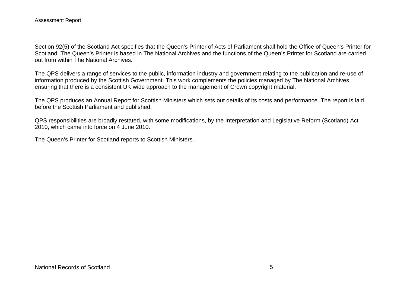Section 92(5) of the Scotland Act specifies that the Queen's Printer of Acts of Parliament shall hold the Office of Queen's Printer for Scotland. The Queen's Printer is based in The National Archives and the functions of the Queen's Printer for Scotland are carried out from within The National Archives.

The QPS delivers a range of services to the public, information industry and government relating to the publication and re-use of information produced by the Scottish Government. This work complements the policies managed by The National Archives, ensuring that there is a consistent UK wide approach to the management of Crown copyright material.

The QPS produces an Annual Report for Scottish Ministers which sets out details of its costs and performance. The report is laid before the Scottish Parliament and published.

QPS responsibilities are broadly restated, with some modifications, by the Interpretation and Legislative Reform (Scotland) Act 2010, which came into force on 4 June 2010.

The Queen's Printer for Scotland reports to Scottish Ministers.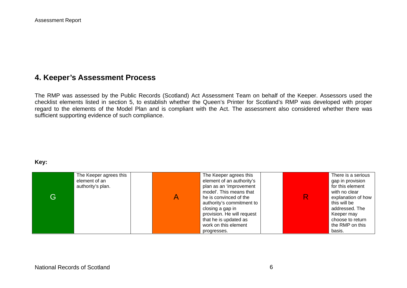# **4. Keeper's Assessment Process**

The RMP was assessed by the Public Records (Scotland) Act Assessment Team on behalf of the Keeper. Assessors used the checklist elements listed in section 5, to establish whether the Queen's Printer for Scotland's RMP was developed with proper regard to the elements of the Model Plan and is compliant with the Act. The assessment also considered whether there was sufficient supporting evidence of such compliance.

#### **Key:**

| G | The Keeper agrees this<br>element of an<br>authority's plan. | The Keeper agrees this<br>element of an authority's<br>plan as an 'improvement<br>model'. This means that<br>he is convinced of the<br>authority's commitment to<br>closing a gap in<br>provision. He will request<br>that he is updated as<br>work on this element | There is a serious<br>gap in provision<br>for this element<br>with no clear<br>explanation of how<br>this will be<br>addressed. The<br>Keeper may<br>choose to return<br>the RMP on this |
|---|--------------------------------------------------------------|---------------------------------------------------------------------------------------------------------------------------------------------------------------------------------------------------------------------------------------------------------------------|------------------------------------------------------------------------------------------------------------------------------------------------------------------------------------------|
|   |                                                              | progresses.                                                                                                                                                                                                                                                         | basis.                                                                                                                                                                                   |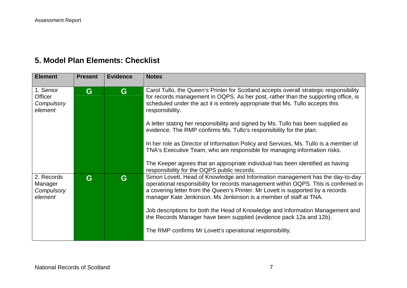# **5. Model Plan Elements: Checklist**

| <b>Element</b>                                       | <b>Present</b> | <b>Evidence</b> | <b>Notes</b>                                                                                                                                                                                                                                                                                                                 |
|------------------------------------------------------|----------------|-----------------|------------------------------------------------------------------------------------------------------------------------------------------------------------------------------------------------------------------------------------------------------------------------------------------------------------------------------|
| 1. Senior<br><b>Officer</b><br>Compulsory<br>element | G              | G               | Carol Tullo, the Queen's Printer for Scotland accepts overall strategic responsibility<br>for records management in OQPS. As her post, rather than the supporting office, is<br>scheduled under the act it is entirely appropriate that Ms. Tullo accepts this<br>responsibility.                                            |
|                                                      |                |                 | A letter stating her responsibility and signed by Ms. Tullo has been supplied as<br>evidence. The RMP confirms Ms. Tullo's responsibility for the plan.                                                                                                                                                                      |
|                                                      |                |                 | In her role as Director of Information Policy and Services, Ms. Tullo is a member of<br>TNA's Executive Team, who are responsible for managing information risks.                                                                                                                                                            |
|                                                      |                |                 | The Keeper agrees that an appropriate individual has been identified as having<br>responsibility for the OQPS public records.                                                                                                                                                                                                |
| 2. Records<br>Manager<br>Compulsory<br>element       | G              | G               | Simon Lovett, Head of Knowledge and Information management has the day-to-day<br>operational responsibility for records management within OQPS. This is confirmed in<br>a covering letter from the Queen's Printer. Mr Lovett is supported by a records<br>manager Kate Jenkinson. Ms Jenkinson is a member of staff at TNA. |
|                                                      |                |                 | Job descriptions for both the Head of Knowledge and Information Management and<br>the Records Manager have been supplied (evidence pack 12a and 12b).                                                                                                                                                                        |
|                                                      |                |                 | The RMP confirms Mr Lovett's operational responsibility.                                                                                                                                                                                                                                                                     |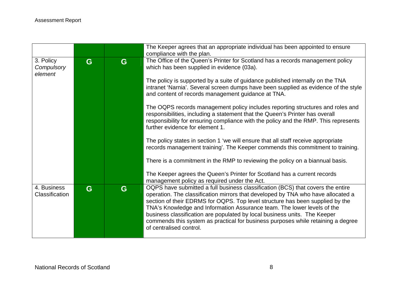|                |   |   | The Keeper agrees that an appropriate individual has been appointed to ensure<br>compliance with the plan. |
|----------------|---|---|------------------------------------------------------------------------------------------------------------|
|                |   |   |                                                                                                            |
| 3. Policy      | G | G | The Office of the Queen's Printer for Scotland has a records management policy                             |
| Compulsory     |   |   | which has been supplied in evidence (03a).                                                                 |
| element        |   |   |                                                                                                            |
|                |   |   | The policy is supported by a suite of guidance published internally on the TNA                             |
|                |   |   | intranet 'Narnia'. Several screen dumps have been supplied as evidence of the style                        |
|                |   |   | and content of records management guidance at TNA.                                                         |
|                |   |   |                                                                                                            |
|                |   |   | The OQPS records management policy includes reporting structures and roles and                             |
|                |   |   |                                                                                                            |
|                |   |   | responsibilities, including a statement that the Queen's Printer has overall                               |
|                |   |   | responsibility for ensuring compliance with the policy and the RMP. This represents                        |
|                |   |   | further evidence for element 1.                                                                            |
|                |   |   |                                                                                                            |
|                |   |   | The policy states in section 1 'we will ensure that all staff receive appropriate                          |
|                |   |   | records management training'. The Keeper commends this commitment to training.                             |
|                |   |   |                                                                                                            |
|                |   |   | There is a commitment in the RMP to reviewing the policy on a biannual basis.                              |
|                |   |   |                                                                                                            |
|                |   |   | The Keeper agrees the Queen's Printer for Scotland has a current records                                   |
|                |   |   |                                                                                                            |
|                |   |   | management policy as required under the Act.                                                               |
| 4. Business    | G | G | OQPS have submitted a full business classification (BCS) that covers the entire                            |
| Classification |   |   | operation. The classification mirrors that developed by TNA who have allocated a                           |
|                |   |   | section of their EDRMS for OQPS. Top level structure has been supplied by the                              |
|                |   |   | TNA's Knowledge and Information Assurance team. The lower levels of the                                    |
|                |   |   | business classification are populated by local business units. The Keeper                                  |
|                |   |   | commends this system as practical for business purposes while retaining a degree                           |
|                |   |   | of centralised control.                                                                                    |
|                |   |   |                                                                                                            |
|                |   |   |                                                                                                            |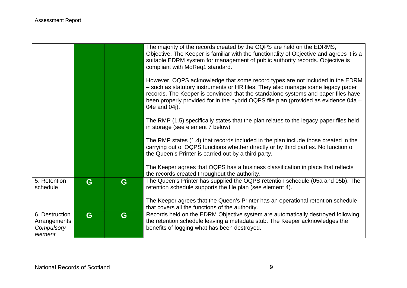|                                                         |   |   | The majority of the records created by the OQPS are held on the EDRMS,<br>Objective. The Keeper is familiar with the functionality of Objective and agrees it is a<br>suitable EDRM system for management of public authority records. Objective is<br>compliant with MoReq1 standard.<br>However, OQPS acknowledge that some record types are not included in the EDRM<br>- such as statutory instruments or HR files. They also manage some legacy paper<br>records. The Keeper is convinced that the standalone systems and paper files have |
|---------------------------------------------------------|---|---|-------------------------------------------------------------------------------------------------------------------------------------------------------------------------------------------------------------------------------------------------------------------------------------------------------------------------------------------------------------------------------------------------------------------------------------------------------------------------------------------------------------------------------------------------|
|                                                         |   |   | been properly provided for in the hybrid OQPS file plan (provided as evidence 04a -<br>04e and 04j).                                                                                                                                                                                                                                                                                                                                                                                                                                            |
|                                                         |   |   | The RMP (1.5) specifically states that the plan relates to the legacy paper files held<br>in storage (see element 7 below)                                                                                                                                                                                                                                                                                                                                                                                                                      |
|                                                         |   |   | The RMP states (1.4) that records included in the plan include those created in the<br>carrying out of OQPS functions whether directly or by third parties. No function of<br>the Queen's Printer is carried out by a third party.                                                                                                                                                                                                                                                                                                              |
|                                                         |   |   | The Keeper agrees that OQPS has a business classification in place that reflects<br>the records created throughout the authority.                                                                                                                                                                                                                                                                                                                                                                                                               |
| 5. Retention<br>schedule                                | G | G | The Queen's Printer has supplied the OQPS retention schedule (05a and 05b). The<br>retention schedule supports the file plan (see element 4).                                                                                                                                                                                                                                                                                                                                                                                                   |
|                                                         |   |   | The Keeper agrees that the Queen's Printer has an operational retention schedule<br>that covers all the functions of the authority.                                                                                                                                                                                                                                                                                                                                                                                                             |
| 6. Destruction<br>Arrangements<br>Compulsory<br>element | G | G | Records held on the EDRM Objective system are automatically destroyed following<br>the retention schedule leaving a metadata stub. The Keeper acknowledges the<br>benefits of logging what has been destroyed.                                                                                                                                                                                                                                                                                                                                  |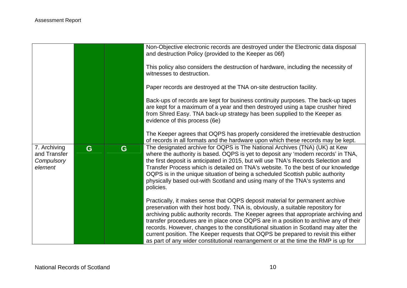|                                                       |   |   | Non-Objective electronic records are destroyed under the Electronic data disposal<br>and destruction Policy (provided to the Keeper as 06f)<br>This policy also considers the destruction of hardware, including the necessity of<br>witnesses to destruction.<br>Paper records are destroyed at the TNA on-site destruction facility.<br>Back-ups of records are kept for business continuity purposes. The back-up tapes<br>are kept for a maximum of a year and then destroyed using a tape crusher hired<br>from Shred Easy. TNA back-up strategy has been supplied to the Keeper as<br>evidence of this process (6e) |
|-------------------------------------------------------|---|---|---------------------------------------------------------------------------------------------------------------------------------------------------------------------------------------------------------------------------------------------------------------------------------------------------------------------------------------------------------------------------------------------------------------------------------------------------------------------------------------------------------------------------------------------------------------------------------------------------------------------------|
|                                                       |   |   | The Keeper agrees that OQPS has properly considered the irretrievable destruction<br>of records in all formats and the hardware upon which these records may be kept.                                                                                                                                                                                                                                                                                                                                                                                                                                                     |
| 7. Archiving<br>and Transfer<br>Compulsory<br>element | G | G | The designated archive for OQPS is The National Archives (TNA) (UK) at Kew<br>where the authority is based. OQPS is yet to deposit any 'modern records' in TNA,<br>the first deposit is anticipated in 2015, but will use TNA's Records Selection and<br>Transfer Process which is detailed on TNA's website. To the best of our knowledge<br>OQPS is in the unique situation of being a scheduled Scottish public authority<br>physically based out-with Scotland and using many of the TNA's systems and<br>policies.                                                                                                   |
|                                                       |   |   | Practically, it makes sense that OQPS deposit material for permanent archive<br>preservation with their host body. TNA is, obviously, a suitable repository for<br>archiving public authority records. The Keeper agrees that appropriate archiving and<br>transfer procedures are in place once OQPS are in a position to archive any of their                                                                                                                                                                                                                                                                           |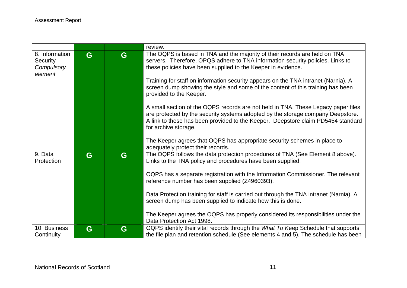|                               |   |   | review.                                                                                                                                                               |
|-------------------------------|---|---|-----------------------------------------------------------------------------------------------------------------------------------------------------------------------|
| 8. Information                | G | G | The OQPS is based in TNA and the majority of their records are held on TNA                                                                                            |
| <b>Security</b><br>Compulsory |   |   | servers. Therefore, OPQS adhere to TNA information security policies. Links to<br>these policies have been supplied to the Keeper in evidence.                        |
| element                       |   |   |                                                                                                                                                                       |
|                               |   |   | Training for staff on information security appears on the TNA intranet (Narnia). A<br>screen dump showing the style and some of the content of this training has been |
|                               |   |   | provided to the Keeper.                                                                                                                                               |
|                               |   |   | A small section of the OQPS records are not held in TNA. These Legacy paper files                                                                                     |
|                               |   |   | are protected by the security systems adopted by the storage company Deepstore.                                                                                       |
|                               |   |   | A link to these has been provided to the Keeper. Deepstore claim PD5454 standard<br>for archive storage.                                                              |
|                               |   |   |                                                                                                                                                                       |
|                               |   |   | The Keeper agrees that OQPS has appropriate security schemes in place to<br>adequately protect their records.                                                         |
| 9. Data                       | G | G | The OQPS follows the data protection procedures of TNA (See Element 8 above).                                                                                         |
| Protection                    |   |   | Links to the TNA policy and procedures have been supplied.                                                                                                            |
|                               |   |   | OQPS has a separate registration with the Information Commissioner. The relevant                                                                                      |
|                               |   |   | reference number has been supplied (Z4960393).                                                                                                                        |
|                               |   |   | Data Protection training for staff is carried out through the TNA intranet (Narnia). A                                                                                |
|                               |   |   | screen dump has been supplied to indicate how this is done.                                                                                                           |
|                               |   |   | The Keeper agrees the OQPS has properly considered its responsibilities under the                                                                                     |
|                               |   |   | Data Protection Act 1998.                                                                                                                                             |
| 10. Business                  | G | G | OQPS identify their vital records through the What To Keep Schedule that supports                                                                                     |
| Continuity                    |   |   | the file plan and retention schedule (See elements 4 and 5). The schedule has been                                                                                    |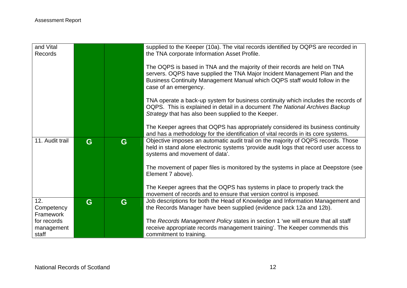| and Vital<br>Records     |   |   | supplied to the Keeper (10a). The vital records identified by OQPS are recorded in<br>the TNA corporate Information Asset Profile.                                                                                                                              |
|--------------------------|---|---|-----------------------------------------------------------------------------------------------------------------------------------------------------------------------------------------------------------------------------------------------------------------|
|                          |   |   | The OQPS is based in TNA and the majority of their records are held on TNA<br>servers. OQPS have supplied the TNA Major Incident Management Plan and the<br>Business Continuity Management Manual which OQPS staff would follow in the<br>case of an emergency. |
|                          |   |   | TNA operate a back-up system for business continuity which includes the records of<br>OQPS. This is explained in detail in a document The National Archives Backup<br>Strategy that has also been supplied to the Keeper.                                       |
|                          |   |   | The Keeper agrees that OQPS has appropriately considered its business continuity<br>and has a methodology for the identification of vital records in its core systems.                                                                                          |
| 11. Audit trail          | G | G | Objective imposes an automatic audit trail on the majority of OQPS records. Those<br>held in stand alone electronic systems 'provide audit logs that record user access to<br>systems and movement of data'.                                                    |
|                          |   |   | The movement of paper files is monitored by the systems in place at Deepstore (see<br>Element 7 above).                                                                                                                                                         |
|                          |   |   | The Keeper agrees that the OQPS has systems in place to properly track the<br>movement of records and to ensure that version control is imposed.                                                                                                                |
| 12.<br>Competency        | G | G | Job descriptions for both the Head of Knowledge and Information Management and<br>the Records Manager have been supplied (evidence pack 12a and 12b).                                                                                                           |
| Framework<br>for records |   |   | The Records Management Policy states in section 1 'we will ensure that all staff                                                                                                                                                                                |
| management<br>staff      |   |   | receive appropriate records management training'. The Keeper commends this<br>commitment to training.                                                                                                                                                           |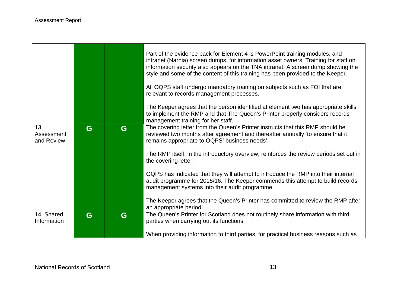- 17

|                           |   |   | Part of the evidence pack for Element 4 is PowerPoint training modules, and<br>intranet (Narnia) screen dumps, for information asset owners. Training for staff on<br>information security also appears on the TNA intranet. A screen dump showing the<br>style and some of the content of this training has been provided to the Keeper.<br>All OQPS staff undergo mandatory training on subjects such as FOI that are<br>relevant to records management processes.<br>The Keeper agrees that the person identified at element two has appropriate skills<br>to implement the RMP and that The Queen's Printer properly considers records<br>management training for her staff. |
|---------------------------|---|---|----------------------------------------------------------------------------------------------------------------------------------------------------------------------------------------------------------------------------------------------------------------------------------------------------------------------------------------------------------------------------------------------------------------------------------------------------------------------------------------------------------------------------------------------------------------------------------------------------------------------------------------------------------------------------------|
| 13.<br>Assessment         | G | G | The covering letter from the Queen's Printer instructs that this RMP should be<br>reviewed two months after agreement and thereafter annually 'to ensure that it                                                                                                                                                                                                                                                                                                                                                                                                                                                                                                                 |
| and Review                |   |   | remains appropriate to OQPS' business needs'.                                                                                                                                                                                                                                                                                                                                                                                                                                                                                                                                                                                                                                    |
|                           |   |   | The RMP itself, in the introductory overview, reinforces the review periods set out in<br>the covering letter.                                                                                                                                                                                                                                                                                                                                                                                                                                                                                                                                                                   |
|                           |   |   | OQPS has indicated that they will attempt to introduce the RMP into their internal                                                                                                                                                                                                                                                                                                                                                                                                                                                                                                                                                                                               |
|                           |   |   | audit programme for 2015/16. The Keeper commends this attempt to build records<br>management systems into their audit programme.                                                                                                                                                                                                                                                                                                                                                                                                                                                                                                                                                 |
|                           |   |   | The Keeper agrees that the Queen's Printer has committed to review the RMP after<br>an appropriate period.                                                                                                                                                                                                                                                                                                                                                                                                                                                                                                                                                                       |
| 14. Shared<br>Information | G | G | The Queen's Printer for Scotland does not routinely share information with third<br>parties when carrying out its functions.                                                                                                                                                                                                                                                                                                                                                                                                                                                                                                                                                     |
|                           |   |   | When providing information to third parties, for practical business reasons such as                                                                                                                                                                                                                                                                                                                                                                                                                                                                                                                                                                                              |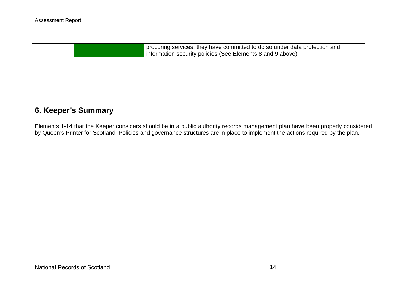procuring services, they have committed to do so under data protection and information security policies (See Elements 8 and 9 above).

# **6. Keeper's Summary**

Elements 1-14 that the Keeper considers should be in a public authority records management plan have been properly considered by Queen's Printer for Scotland. Policies and governance structures are in place to implement the actions required by the plan.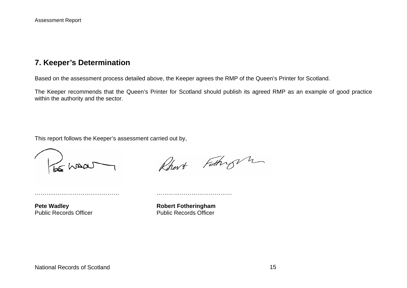## **7. Keeper's Determination**

Based on the assessment process detailed above, the Keeper agrees the RMP of the Queen's Printer for Scotland.

The Keeper recommends that the Queen's Printer for Scotland should publish its agreed RMP as an example of good practice within the authority and the sector.

This report follows the Keeper's assessment carried out by,

………..…………………………… …………………………………



Rhort Fathry m

**Pete Wadley Manual Public Records Officer Manual Public Records Officer Public Records Officer** Public Records Officer